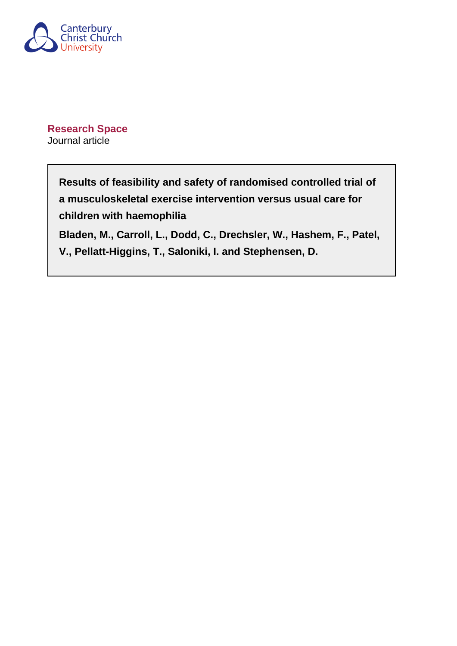

**Research Space** Journal article

> **Results of feasibility and safety of randomised controlled trial of a musculoskeletal exercise intervention versus usual care for children with haemophilia Bladen, M., Carroll, L., Dodd, C., Drechsler, W., Hashem, F., Patel, V., Pellatt-Higgins, T., Saloniki, I. and Stephensen, D.**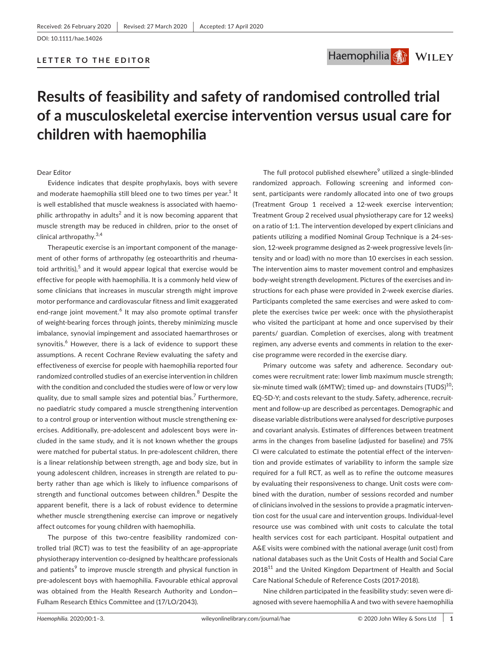## **LETTER TO THE EDITOR**



# **Results of feasibility and safety of randomised controlled trial of a musculoskeletal exercise intervention versus usual care for children with haemophilia**

#### Dear Editor

Evidence indicates that despite prophylaxis, boys with severe and moderate haemophilia still bleed one to two times per year. $^{\rm 1}$  It is well established that muscle weakness is associated with haemophilic arthropathy in adults $^2$  and it is now becoming apparent that muscle strength may be reduced in children, prior to the onset of clinical arthropathy.<sup>3,4</sup>

Therapeutic exercise is an important component of the management of other forms of arthropathy (eg osteoarthritis and rheumatoid arthritis), $^5$  and it would appear logical that exercise would be effective for people with haemophilia. It is a commonly held view of some clinicians that increases in muscular strength might improve motor performance and cardiovascular fitness and limit exaggerated end-range joint movement.<sup>6</sup> It may also promote optimal transfer of weight-bearing forces through joints, thereby minimizing muscle imbalance, synovial impingement and associated haemarthroses or synovitis.<sup>6</sup> However, there is a lack of evidence to support these assumptions. A recent Cochrane Review evaluating the safety and effectiveness of exercise for people with haemophilia reported four randomized controlled studies of an exercise intervention in children with the condition and concluded the studies were of low or very low quality, due to small sample sizes and potential bias.<sup>7</sup> Furthermore, no paediatric study compared a muscle strengthening intervention to a control group or intervention without muscle strengthening exercises. Additionally, pre-adolescent and adolescent boys were included in the same study, and it is not known whether the groups were matched for pubertal status. In pre-adolescent children, there is a linear relationship between strength, age and body size, but in young adolescent children, increases in strength are related to puberty rather than age which is likely to influence comparisons of strength and functional outcomes between children.<sup>8</sup> Despite the apparent benefit, there is a lack of robust evidence to determine whether muscle strengthening exercise can improve or negatively affect outcomes for young children with haemophilia.

The purpose of this two-centre feasibility randomized controlled trial (RCT) was to test the feasibility of an age-appropriate physiotherapy intervention co-designed by healthcare professionals and patients<sup>9</sup> to improve muscle strength and physical function in pre-adolescent boys with haemophilia. Favourable ethical approval was obtained from the Health Research Authority and London— Fulham Research Ethics Committee and (17/LO/2043).

The full protocol published elsewhere<sup>9</sup> utilized a single-blinded randomized approach. Following screening and informed consent, participants were randomly allocated into one of two groups (Treatment Group 1 received a 12-week exercise intervention; Treatment Group 2 received usual physiotherapy care for 12 weeks) on a ratio of 1:1. The intervention developed by expert clinicians and patients utilizing a modified Nominal Group Technique is a 24-session, 12-week programme designed as 2-week progressive levels (intensity and or load) with no more than 10 exercises in each session. The intervention aims to master movement control and emphasizes body-weight strength development. Pictures of the exercises and instructions for each phase were provided in 2-week exercise diaries. Participants completed the same exercises and were asked to complete the exercises twice per week: once with the physiotherapist who visited the participant at home and once supervised by their parents/ guardian. Completion of exercises, along with treatment regimen, any adverse events and comments in relation to the exercise programme were recorded in the exercise diary.

Primary outcome was safety and adherence. Secondary outcomes were recruitment rate: lower limb maximum muscle strength; six-minute timed walk (6MTW); timed up- and downstairs (TUDS) $^{10}$ ; EQ-5D-Y; and costs relevant to the study. Safety, adherence, recruitment and follow-up are described as percentages. Demographic and disease variable distributions were analysed for descriptive purposes and covariant analysis. Estimates of differences between treatment arms in the changes from baseline (adjusted for baseline) and 75% CI were calculated to estimate the potential effect of the intervention and provide estimates of variability to inform the sample size required for a full RCT, as well as to refine the outcome measures by evaluating their responsiveness to change. Unit costs were combined with the duration, number of sessions recorded and number of clinicians involved in the sessions to provide a pragmatic intervention cost for the usual care and intervention groups. Individual-level resource use was combined with unit costs to calculate the total health services cost for each participant. Hospital outpatient and A&E visits were combined with the national average (unit cost) from national databases such as the Unit Costs of Health and Social Care  $2018<sup>11</sup>$  and the United Kingdom Department of Health and Social Care National Schedule of Reference Costs (2017-2018).

Nine children participated in the feasibility study: seven were diagnosed with severe haemophilia A and two with severe haemophilia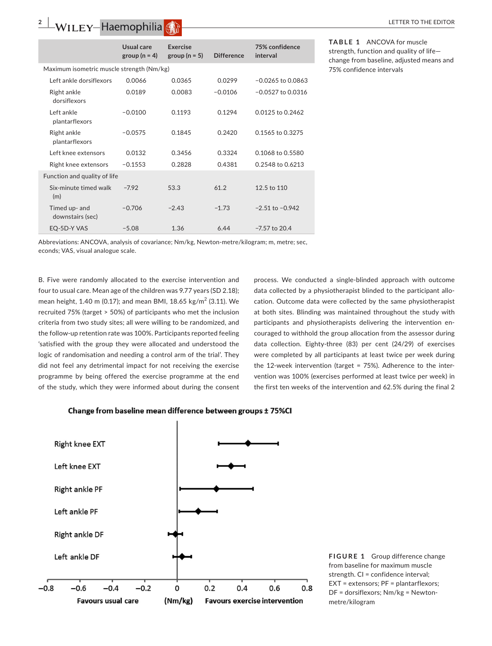## **2 WILEY-Haemophilia**  $\binom{2}{k}$  **LETTER TO THE EDITOR**

|                                           | Usual care<br>group ( $n = 4$ ) | Exercise<br>group ( $n = 5$ ) | <b>Difference</b> | 75% confidence<br>interval |
|-------------------------------------------|---------------------------------|-------------------------------|-------------------|----------------------------|
| Maximum isometric muscle strength (Nm/kg) |                                 |                               |                   |                            |
| Left ankle dorsiflexors                   | 0.0066                          | 0.0365                        | 0.0299            | $-0.0265$ to 0.0863        |
| Right ankle<br>dorsiflexors               | 0.0189                          | 0.0083                        | $-0.0106$         | $-0.0527$ to 0.0316        |
| Left ankle<br>plantarflexors              | $-0.0100$                       | 0.1193                        | 0.1294            | 0.0125 to 0.2462           |
| Right ankle<br>plantarflexors             | $-0.0575$                       | 0.1845                        | 0.2420            | 0.1565 to 0.3275           |
| Left knee extensors                       | 0.0132                          | 0.3456                        | 0.3324            | 0.1068 to 0.5580           |
| Right knee extensors                      | $-0.1553$                       | 0.2828                        | 0.4381            | 0.2548 to 0.6213           |
| Function and quality of life              |                                 |                               |                   |                            |
| Six-minute timed walk<br>(m)              | $-7.92$                         | 53.3                          | 61.2              | 12.5 to 110                |
| Timed up- and<br>downstairs (sec)         | $-0.706$                        | $-2.43$                       | $-1.73$           | $-2.51$ to $-0.942$        |
| EQ-5D-Y VAS                               | $-5.08$                         | 1.36                          | 6.44              | $-7.57$ to 20.4            |

**TABLE 1** ANCOVA for muscle strength, function and quality of life change from baseline, adjusted means and 75% confidence intervals

Abbreviations: ANCOVA, analysis of covariance; Nm/kg, Newton-metre/kilogram; m, metre; sec, econds; VAS, visual analogue scale.

B. Five were randomly allocated to the exercise intervention and four to usual care. Mean age of the children was 9.77 years (SD 2.18); mean height, 1.40 m (0.17); and mean BMI, 18.65 kg/m<sup>2</sup> (3.11). We recruited 75% (target > 50%) of participants who met the inclusion criteria from two study sites; all were willing to be randomized, and the follow-up retention rate was 100%. Participants reported feeling 'satisfied with the group they were allocated and understood the logic of randomisation and needing a control arm of the trial'. They did not feel any detrimental impact for not receiving the exercise programme by being offered the exercise programme at the end of the study, which they were informed about during the consent

process. We conducted a single-blinded approach with outcome data collected by a physiotherapist blinded to the participant allocation. Outcome data were collected by the same physiotherapist at both sites. Blinding was maintained throughout the study with participants and physiotherapists delivering the intervention encouraged to withhold the group allocation from the assessor during data collection. Eighty-three (83) per cent (24/29) of exercises were completed by all participants at least twice per week during the 12-week intervention (target = 75%). Adherence to the intervention was 100% (exercises performed at least twice per week) in the first ten weeks of the intervention and 62.5% during the final 2





**FIGURE 1** Group difference change from baseline for maximum muscle strength. CI = confidence interval; EXT = extensors; PF = plantarflexors; DF = dorsiflexors; Nm/kg = Newtonmetre/kilogram